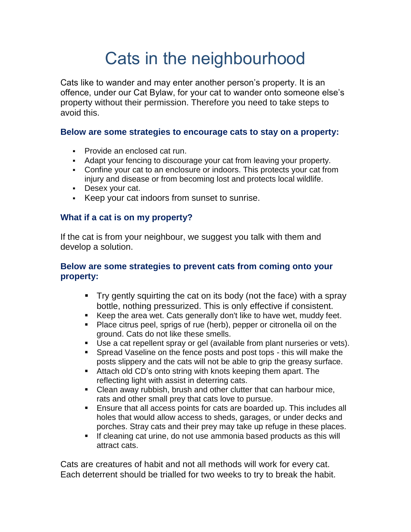# Cats in the neighbourhood

Cats like to wander and may enter another person's property. It is an offence, under our Cat Bylaw, for your cat to wander onto someone else's property without their permission. Therefore you need to take steps to avoid this.

#### **Below are some strategies to encourage cats to stay on a property:**

- **Provide an enclosed cat run.**
- Adapt your fencing to discourage your cat from leaving your property.
- Confine your cat to an enclosure or indoors. This protects your cat from injury and disease or from becoming lost and protects local wildlife.
- Desex your cat.
- Keep your cat indoors from sunset to sunrise.

### **What if a cat is on my property?**

If the cat is from your neighbour, we suggest you talk with them and develop a solution.

### **Below are some strategies to prevent cats from coming onto your property:**

- Try gently squirting the cat on its body (not the face) with a spray bottle, nothing pressurized. This is only effective if consistent.
- Keep the area wet. Cats generally don't like to have wet, muddy feet.
- **Place citrus peel, sprigs of rue (herb), pepper or citronella oil on the** ground. Cats do not like these smells.
- Use a cat repellent spray or gel (available from plant nurseries or vets).
- **Spread Vaseline on the fence posts and post tops this will make the** posts slippery and the cats will not be able to grip the greasy surface.
- Attach old CD's onto string with knots keeping them apart. The reflecting light with assist in deterring cats.
- Clean away rubbish, brush and other clutter that can harbour mice, rats and other small prey that cats love to pursue.
- Ensure that all access points for cats are boarded up. This includes all holes that would allow access to sheds, garages, or under decks and porches. Stray cats and their prey may take up refuge in these places.
- If cleaning cat urine, do not use ammonia based products as this will attract cats.

Cats are creatures of habit and not all methods will work for every cat. Each deterrent should be trialled for two weeks to try to break the habit.